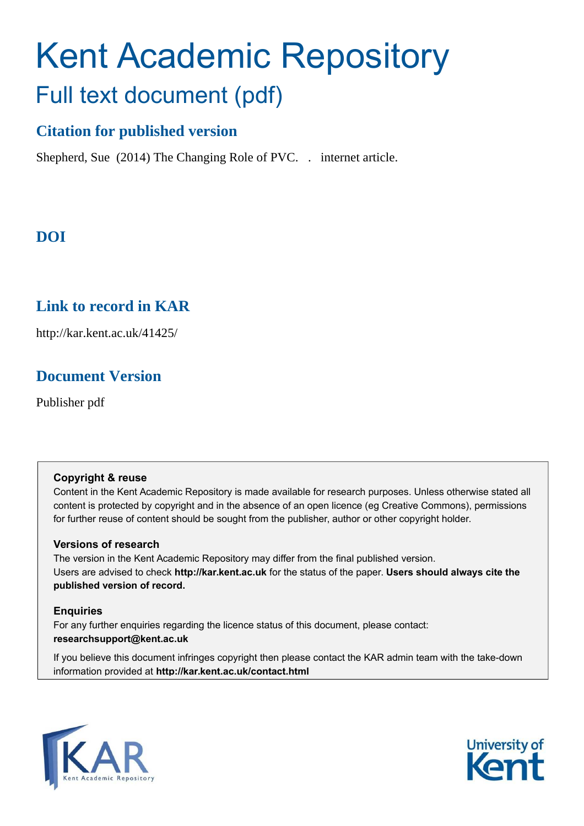# Kent Academic Repository Full text document (pdf)

## **Citation for published version**

Shepherd, Sue (2014) The Changing Role of PVC. . internet article.

## **DOI**

## **Link to record in KAR**

http://kar.kent.ac.uk/41425/

### **Document Version**

Publisher pdf

#### **Copyright & reuse**

Content in the Kent Academic Repository is made available for research purposes. Unless otherwise stated all content is protected by copyright and in the absence of an open licence (eg Creative Commons), permissions for further reuse of content should be sought from the publisher, author or other copyright holder.

#### **Versions of research**

The version in the Kent Academic Repository may differ from the final published version. Users are advised to check **http://kar.kent.ac.uk** for the status of the paper. **Users should always cite the published version of record.**

#### **Enquiries**

For any further enquiries regarding the licence status of this document, please contact: **researchsupport@kent.ac.uk**

If you believe this document infringes copyright then please contact the KAR admin team with the take-down information provided at **http://kar.kent.ac.uk/contact.html**



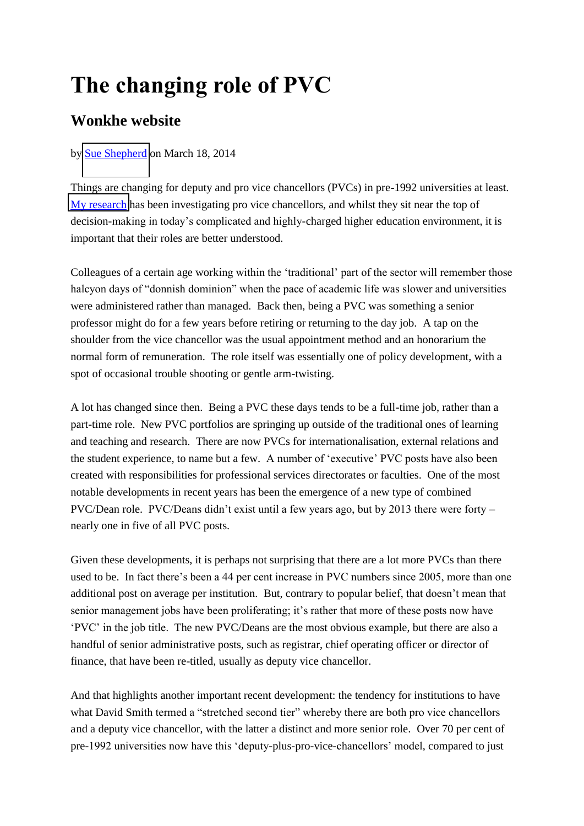## **The changing role of PVC**

## **Wonkhe website**

#### by [Sue Shepherd](http://www.wonkhe.com/author/sue-shepherd/) on March 18, 2014

Things are changing for deputy and pro vice chancellors (PVCs) in pre-1992 universities at least. [My research](http://sue-shepherd.co.uk/) has been investigating pro vice chancellors, and whilst they sit near the top of decision-making in today's complicated and highly-charged higher education environment, it is important that their roles are better understood.

Colleagues of a certain age working within the 'traditional' part of the sector will remember those halcyon days of "donnish dominion" when the pace of academic life was slower and universities were administered rather than managed. Back then, being a PVC was something a senior professor might do for a few years before retiring or returning to the day job. A tap on the shoulder from the vice chancellor was the usual appointment method and an honorarium the normal form of remuneration. The role itself was essentially one of policy development, with a spot of occasional trouble shooting or gentle arm-twisting.

A lot has changed since then. Being a PVC these days tends to be a full-time job, rather than a part-time role. New PVC portfolios are springing up outside of the traditional ones of learning and teaching and research. There are now PVCs for internationalisation, external relations and the student experience, to name but a few. A number of 'executive' PVC posts have also been created with responsibilities for professional services directorates or faculties. One of the most notable developments in recent years has been the emergence of a new type of combined PVC/Dean role. PVC/Deans didn't exist until a few years ago, but by 2013 there were forty – nearly one in five of all PVC posts.

Given these developments, it is perhaps not surprising that there are a lot more PVCs than there used to be. In fact there's been a 44 per cent increase in PVC numbers since 2005, more than one additional post on average per institution. But, contrary to popular belief, that doesn't mean that senior management jobs have been proliferating; it's rather that more of these posts now have 'PVC' in the job title. The new PVC/Deans are the most obvious example, but there are also a handful of senior administrative posts, such as registrar, chief operating officer or director of finance, that have been re-titled, usually as deputy vice chancellor.

And that highlights another important recent development: the tendency for institutions to have what David Smith termed a "stretched second tier" whereby there are both pro vice chancellors and a deputy vice chancellor, with the latter a distinct and more senior role. Over 70 per cent of pre-1992 universities now have this 'deputy-plus-pro-vice-chancellors' model, compared to just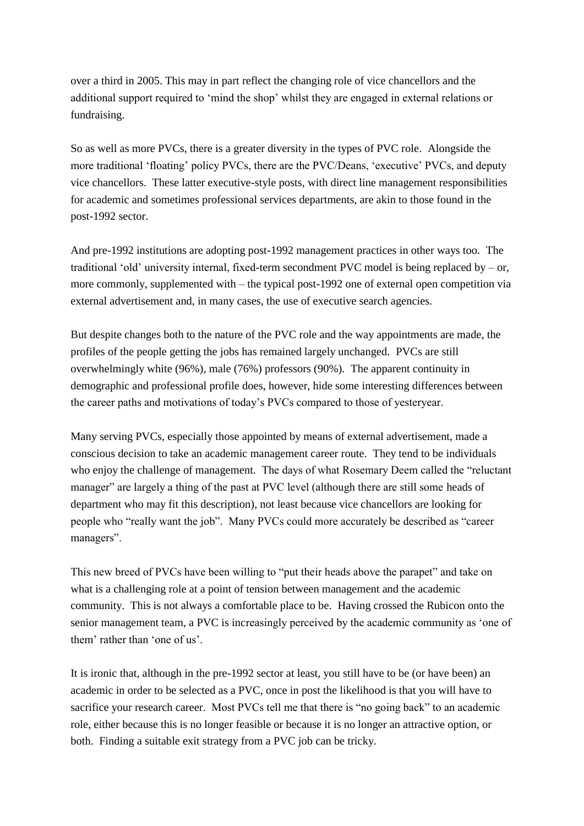over a third in 2005. This may in part reflect the changing role of vice chancellors and the additional support required to 'mind the shop' whilst they are engaged in external relations or fundraising.

So as well as more PVCs, there is a greater diversity in the types of PVC role. Alongside the more traditional 'floating' policy PVCs, there are the PVC/Deans, 'executive' PVCs, and deputy vice chancellors. These latter executive-style posts, with direct line management responsibilities for academic and sometimes professional services departments, are akin to those found in the post-1992 sector.

And pre-1992 institutions are adopting post-1992 management practices in other ways too. The traditional 'old' university internal, fixed-term secondment PVC model is being replaced by – or, more commonly, supplemented with – the typical post-1992 one of external open competition via external advertisement and, in many cases, the use of executive search agencies.

But despite changes both to the nature of the PVC role and the way appointments are made, the profiles of the people getting the jobs has remained largely unchanged. PVCs are still overwhelmingly white (96%), male (76%) professors (90%). The apparent continuity in demographic and professional profile does, however, hide some interesting differences between the career paths and motivations of today's PVCs compared to those of yesteryear.

Many serving PVCs, especially those appointed by means of external advertisement, made a conscious decision to take an academic management career route. They tend to be individuals who enjoy the challenge of management. The days of what Rosemary Deem called the "reluctant manager" are largely a thing of the past at PVC level (although there are still some heads of department who may fit this description), not least because vice chancellors are looking for people who "really want the job". Many PVCs could more accurately be described as "career managers".

This new breed of PVCs have been willing to "put their heads above the parapet" and take on what is a challenging role at a point of tension between management and the academic community. This is not always a comfortable place to be. Having crossed the Rubicon onto the senior management team, a PVC is increasingly perceived by the academic community as 'one of them' rather than 'one of us'.

It is ironic that, although in the pre-1992 sector at least, you still have to be (or have been) an academic in order to be selected as a PVC, once in post the likelihood is that you will have to sacrifice your research career. Most PVCs tell me that there is "no going back" to an academic role, either because this is no longer feasible or because it is no longer an attractive option, or both. Finding a suitable exit strategy from a PVC job can be tricky.